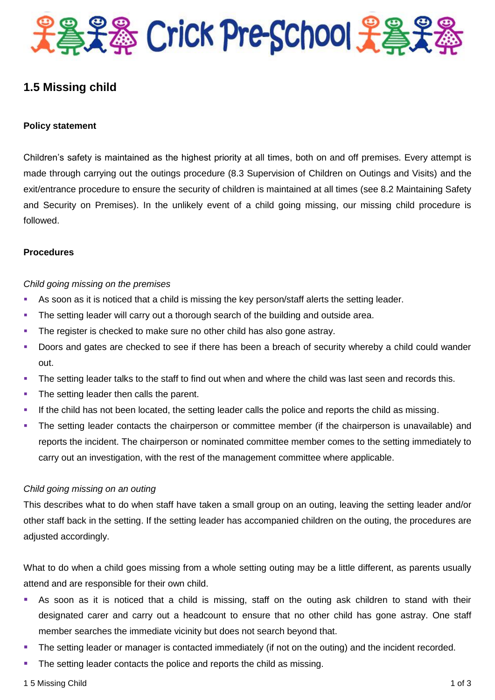

### **1.5 Missing child**

#### **Policy statement**

Children's safety is maintained as the highest priority at all times, both on and off premises. Every attempt is made through carrying out the outings procedure (8.3 Supervision of Children on Outings and Visits) and the exit/entrance procedure to ensure the security of children is maintained at all times (see 8.2 Maintaining Safety and Security on Premises). In the unlikely event of a child going missing, our missing child procedure is followed.

#### **Procedures**

#### *Child going missing on the premises*

- As soon as it is noticed that a child is missing the key person/staff alerts the setting leader.
- The setting leader will carry out a thorough search of the building and outside area.
- The register is checked to make sure no other child has also gone astray.
- **Doors and gates are checked to see if there has been a breach of security whereby a child could wander** out.
- The setting leader talks to the staff to find out when and where the child was last seen and records this.
- The setting leader then calls the parent.
- If the child has not been located, the setting leader calls the police and reports the child as missing.
- The setting leader contacts the chairperson or committee member (if the chairperson is unavailable) and reports the incident. The chairperson or nominated committee member comes to the setting immediately to carry out an investigation, with the rest of the management committee where applicable.

#### *Child going missing on an outing*

This describes what to do when staff have taken a small group on an outing, leaving the setting leader and/or other staff back in the setting. If the setting leader has accompanied children on the outing, the procedures are adjusted accordingly.

What to do when a child goes missing from a whole setting outing may be a little different, as parents usually attend and are responsible for their own child.

- As soon as it is noticed that a child is missing, staff on the outing ask children to stand with their designated carer and carry out a headcount to ensure that no other child has gone astray. One staff member searches the immediate vicinity but does not search beyond that.
- **The setting leader or manager is contacted immediately (if not on the outing) and the incident recorded.**
- The setting leader contacts the police and reports the child as missing.
- 1 5 Missing Child 1 of 3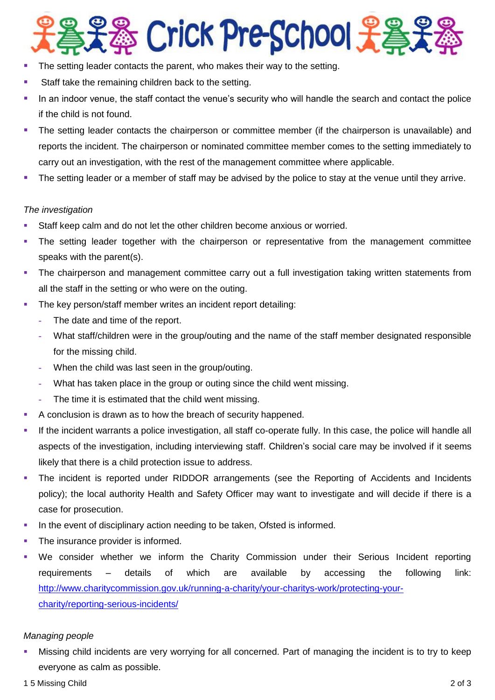# **& Crick Pre-School 吴昌:**

- The setting leader contacts the parent, who makes their way to the setting.
- Staff take the remaining children back to the setting.
- In an indoor venue, the staff contact the venue's security who will handle the search and contact the police if the child is not found.
- The setting leader contacts the chairperson or committee member (if the chairperson is unavailable) and reports the incident. The chairperson or nominated committee member comes to the setting immediately to carry out an investigation, with the rest of the management committee where applicable.
- The setting leader or a member of staff may be advised by the police to stay at the venue until they arrive.

#### *The investigation*

- Staff keep calm and do not let the other children become anxious or worried.
- The setting leader together with the chairperson or representative from the management committee speaks with the parent(s).
- The chairperson and management committee carry out a full investigation taking written statements from all the staff in the setting or who were on the outing.
- The key person/staff member writes an incident report detailing:
	- **-** The date and time of the report.
	- **-** What staff/children were in the group/outing and the name of the staff member designated responsible for the missing child.
	- **-** When the child was last seen in the group/outing.
	- **-** What has taken place in the group or outing since the child went missing.
	- **-** The time it is estimated that the child went missing.
- A conclusion is drawn as to how the breach of security happened.
- If the incident warrants a police investigation, all staff co-operate fully. In this case, the police will handle all aspects of the investigation, including interviewing staff. Children's social care may be involved if it seems likely that there is a child protection issue to address.
- The incident is reported under RIDDOR arrangements (see the Reporting of Accidents and Incidents policy); the local authority Health and Safety Officer may want to investigate and will decide if there is a case for prosecution.
- In the event of disciplinary action needing to be taken, Ofsted is informed.
- The insurance provider is informed.
- We consider whether we inform the Charity Commission under their Serious Incident reporting requirements – details of which are available by accessing the following link: [http://www.charitycommission.gov.uk/running-a-charity/your-charitys-work/protecting-your](http://www.charitycommission.gov.uk/running-a-charity/your-charitys-work/protecting-your-charity/reporting-serious-incidents/)[charity/reporting-serious-incidents/](http://www.charitycommission.gov.uk/running-a-charity/your-charitys-work/protecting-your-charity/reporting-serious-incidents/)

#### *Managing people*

 Missing child incidents are very worrying for all concerned. Part of managing the incident is to try to keep everyone as calm as possible.